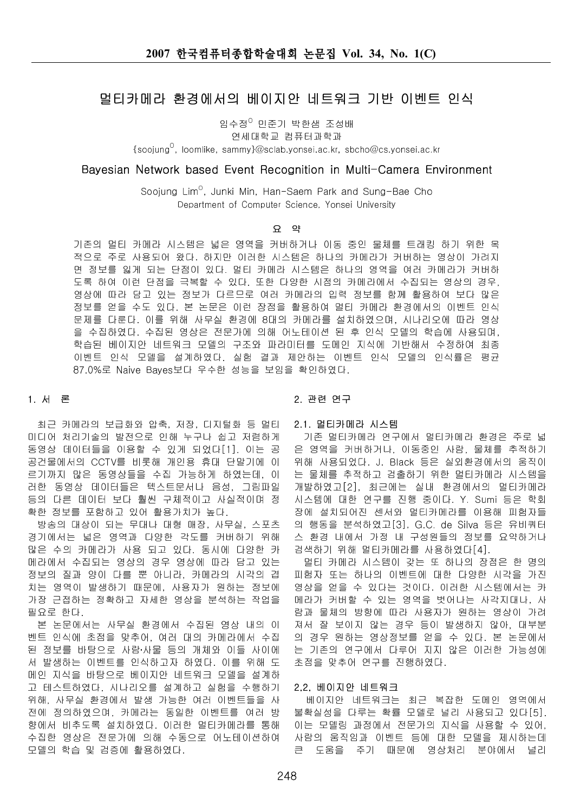# 멀티카메라 환경에서의 베이지안 네트워크 기반 이벤트 인식

임수정<sup>이</sup> 민준기 박한샘 조성배

연세대학교 컴퓨터과학과

 $\{s$ oojung $^{\circ}$ , loomlike, sammy}@sclab.yonsei.ac.kr, sbcho@cs.yonsei.ac.kr

# Bayesian Network based Event Recognition in Multi-Camera Environment

Soojung Lim<sup>o</sup>, Junki Min, Han-Saem Park and Sung-Bae Cho Department of Computer Science, Yonsei University

## 요 약

기존의 멀티 카메라 시스템은 넓은 영역을 커버하거나 이동 중인 물체를 트래킹 하기 위한 목 적으로 주로 사용되어 왔다. 하지만 이러한 시스템은 하나의 카메라가 커버하는 영상이 가려지 면 정보를 잃게 되는 단점이 있다. 멀티 카메라 시스템은 하나의 영역을 여러 카메라가 커버하 도록 하여 이런 단점을 극복할 수 있다. 또한 다양한 시점의 카메라에서 수집되는 영상의 경우. 영상에 따라 담고 있는 정보가 다르므로 여러 카메라의 입력 정보를 함께 활용하여 보다 많은 정보를 얻을 수도 있다. 본 논문은 이런 장점을 활용하여 멀티 카메라 환경에서의 이벤트 인식 문제를 다룬다. 이를 위해 사무실 환경에 8대의 카메라를 설치하였으며, 시나리오에 따라 영상 을 수집하였다. 수집된 영상은 전문가에 의해 어노테이션 된 후 인식 모델의 학습에 사용되며, 학습된 베이지안 네트워크 모델의 구조와 파라미터를 도메인 지식에 기반해서 수정하여 최종 이벤트 인식 모델을 설계하였다. 실험 결과 제안하는 이벤트 인식 모델의 인식률은 평균 87.0%로 Naive Bayes보다 우수한 성능을 보임을 확인하였다.

## 1. 서론

최근 카메라의 보급화와 압축, 저장, 디지털화 등 멀티 미디어 처리기술의 발전으로 인해 누구나 쉽고 저렴하게 동영상 데이터들을 이용할 수 있게 되었다[1]. 이는 공 공건물에서의 CCTV를 비롯해 개인용 휴대 단말기에 이 르기까지 많은 동영상들을 수집 가능하게 하였는데, 이 러한 동영상 데이터들은 텍스트문서나 음성, 그림파일 등의 다른 데이터 보다 훨씬 구체적이고 사실적이며 정 확한 정보를 포함하고 있어 활용가치가 높다.

방송의 대상이 되는 무대나 대형 매장, 사무실, 스포츠 경기에서는 넓은 영역과 다양한 각도를 커버하기 위해 많은 수의 카메라가 사용 되고 있다. 동시에 다양한 카 메라에서 수집되는 영상의 경우 영상에 따라 담고 있는 정보의 질과 양이 다를 뿐 아니라, 카메라의 시각의 겹 치는 영역이 발생하기 때문에, 사용자가 원하는 정보에 가장 근접하는 정확하고 자세한 영상을 분석하는 작업을 필요로 한다.

본 논문에서는 사무실 환경에서 수집된 영상 내의 이 벤트 인식에 초점을 맞추어, 여러 대의 카메라에서 수집 된 정보를 바탕으로 사람 사물 등의 개체와 이들 사이에 서 발생하는 이벤트를 인식하고자 하였다. 이를 위해 도 메인 지식을 바탕으로 베이지안 네트워크 모델을 설계하 고 테스트하였다. 시나리오를 설계하고 실험을 수행하기 위해, 사무실 환경에서 발생 가능한 여러 이벤트들을 사 전에 정의하였으며, 카메라는 동일한 이벤트를 여러 방 향에서 비추도록 설치하였다. 이러한 멀티카메라를 통해 수집한 영상은 전문가에 의해 수동으로 어노테이션하여 모델의 학습 및 검증에 활용하였다.

# 2. 관련 연구

2.1. 멀티카메라 시스템

기존 멀티카메라 연구에서 멀티카메라 환경은 주로 넓 은 영역을 커버하거나, 이동중인 사람, 물체를 추적하기 위해 사용되었다. J. Black 등은 실외환경에서의 움직이 는 물체를 추적하고 검출하기 위한 멀티카메라 시스템을 개발하였고 [2], 최근에는 실내 환경에서의 멀티카메라 시스템에 대한 연구를 진행 중이다. Y. Sumi 등은 학회 장에 설치되어진 센서와 멀티카메라를 이용해 피험자들 의 행동을 분석하였고[3], G.C. de Silva 등은 유비쿼터 스 환경 내에서 가정 내 구성원들의 정보를 요약하거나 검색하기 위해 멀티카메라를 사용하였다[4].

멀티 카메라 시스템이 갖는 또 하나의 장점은 한 명의 피험자 또는 하나의 이벤트에 대한 다양한 시각을 가진 영상을 얻을 수 있다는 것이다. 이러한 시스템에서는 카 메라가 커버할 수 있는 영역을 벗어나는 사각지대나, 사 람과 물체의 방향에 따라 사용자가 원하는 영상이 가려 져서 잘 보이지 않는 경우 등이 발생하지 않아, 대부분 의 경우 원하는 영상정보를 얻을 수 있다. 본 논문에서 는 기존의 연구에서 다루어 지지 않은 이러한 가능성에 초점을 맞추어 연구를 진행하였다.

## 2.2. 베이지안 네트워크

베이지안 네트워크는 최근 복잡한 도메인 영역에서 불확실성을 다루는 확률 모델로 널리 사용되고 있다[5]. 이는 모델링 과정에서 전문가의 지식을 사용할 수 있어. 사람의 움직임과 이벤트 등에 대한 모델을 제시하는데  $\equiv$ 주기 때문에 영상처리 분야에서 도움을 널리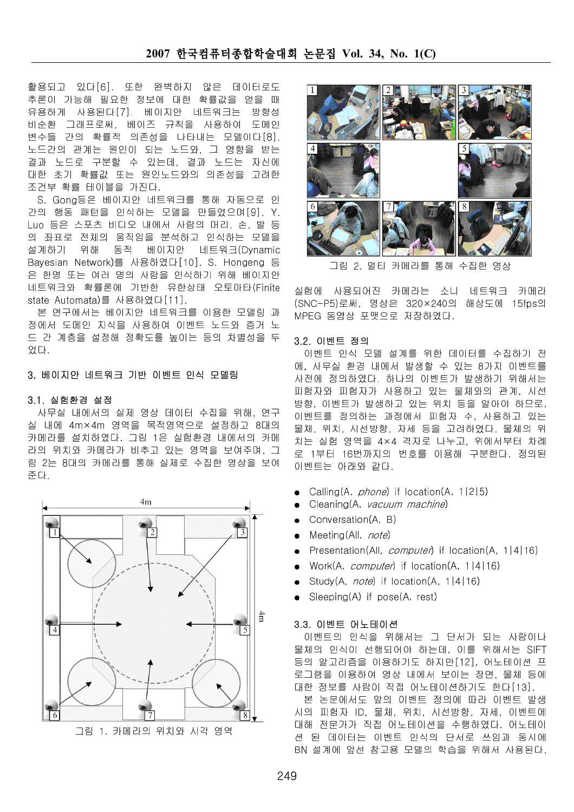# 2007 한국컴퓨터종합학술대회 논문집 Vol. 34, No. 1(C)

데이터로도 활용되고 있다[6]. 또한 완벽하지 않은 추론이 가능해 필요한 정보에 대한 확률값을 얻을 때 유용하게 사용된다[7]. 베이지안 네트워크는 방향성 비순환 그래프로써, 베이즈 규칙을 사용하여 도메인 변수들 간의 확률적 의존성을 나타내는 모델이다[8]. 노드간의 관계는 원인이 되는 노드와, 그 영향을 받는 결과 노드로 구분할 수 있는데, 결과 노드는 자신에 대한 초기 확률값 또는 원인노드와의 의존성을 고려한 조건부 확률 테이블을 가진다.

S. Gong 등은 베이지안 네트워크를 통해 자동으로 인 간의 행동 패턴을 인식하는 모델을 만들었으며 [9], Y. Luo 등은 스포츠 비디오 내에서 사람의 머리, 손, 발 등 의 좌표로 전체의 움직임을 분석하고 인식하는 모델을 설계하기 위해 동적 베이지안 네트워크(Dvnamic Bayesian Network)를 사용하였다[10]. S. Hongeng 등 은 한명 또는 여러 명의 사람을 인식하기 위해 베이지안 네트워크와 확률론에 기반한 유한상태 오토마타(Finite state Automata)를 사용하였다[11].

본 연구에서는 베이지안 네트워크를 이용한 모델링 과 정에서 도메인 지식을 사용하여 이벤트 노드와 증거 노 드 간 계층을 설정해 정확도를 높이는 등의 차별성을 두 었다.

# 3. 베이지안 네트워크 기반 이벤트 인식 모델링

## 3.1. 실험환경 설정

사무실 내에서의 실제 영상 데이터 수집을 위해, 연구 실 내에 4m×4m 영역을 목적영역으로 설정하고 8대의 카메라를 설치하였다. 그림 1은 실험환경 내에서의 카메 라의 위치와 카메라가 비추고 있는 영역을 보여주며, 그 림 2는 8대의 카메라를 통해 실제로 수집한 영상을 보여 준다.





그림 2. 멀티 카메라를 통해 수집한 영싱

실험에 사용되어진 카메라는 소니 네트워크 카메라 (SNC-P5)로써, 영상은 320×240의 해상도에 15fps의 MPEG 동영상 포맷으로 저장하였다.

#### 3.2. 이벤트 정의

이벤트 인식 모델 설계를 위한 데이터를 수집하기 전 에, 사무실 환경 내에서 발생할 수 있는 8가지 이벤트를 사전에 정의하였다. 하나의 이벤트가 발생하기 위해서는 피험자와 피험자가 사용하고 있는 물체와의 관계, 시선 방향, 이벤트가 발생하고 있는 위치 등을 알아야 하므로, 이벤트를 정의하는 과정에서 피험자 수, 사용하고 있는 물체, 위치, 시선방향, 자세 등을 고려하였다. 물체의 위 치는 실험 영역을 4×4 격자로 나누고, 위에서부터 차례 로 1부터 16번까지의 번호를 이용해 구분한다. 정의된 이벤트는 아래와 같다.

- Calling(A, *phone*) if location(A, 1|2|5)
- Cleaning(A, vacuum machine)
- Conversation(A, B)
- Meeting(All, note)
- Presentation(All, *computer*) if location(A, 1|4|16)
- Work(A. *computer*) if location(A, 1|4|16)
- Study(A, *note*) if location(A, 1|4|16)
- Sleeping(A) if pose(A, rest)

## 3.3. 이벤트 어노테이션

이벤트의 인식을 위해서는 그 단서가 되는 사람이나 물체의 인식이 선행되어야 하는데, 이를 위해서는 SIFT 등의 알고리즘을 이용하기도 하지만[12]. 어노테이션 프 로그램을 이용하여 영상 내에서 보이는 장면, 물체 등에 대한 정보를 사람이 직접 어노테이션하기도 한다[13]. 본 논문에서도 앞의 이벤트 정의에 따라 이벤트 발생

시의 피험자 ID, 물체, 위치, 시선방향, 자세, 이벤트에 대해 전문가가 직접 어노테이션을 수행하였다. 어노테이 션 된 데이터는 이벤트 인식의 단서로 쓰임과 동시에 BN 설계에 앞선 참고용 모델의 학습을 위해서 사용된다.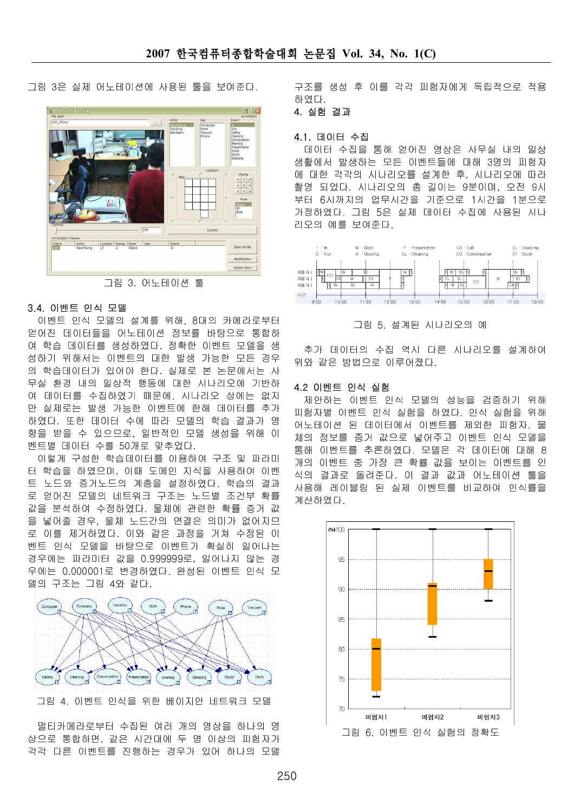그림 3은 실제 어노테이션에 사용된 툴을 보여준다.



그림 3. 어노테이션 툴

# 3.4. 이벤트 인식 모델

이벤트 인식 모델의 설계를 위해, 8대의 카메라로부터 얻어진 데이터들을 어노테이션 정보를 바탕으로 통합하 여 학습 데이터를 생성하였다. 정확한 이벤트 모델을 생 성하기 위해서는 이벤트의 대한 발생 가능한 모든 경우 의 학습데이터가 있어야 한다. 실제로 본 논문에서는 시 무실 환경 내의 일상적 행동에 대한 시나리오에 기반하 여 데이터를 수집하였기 때문에, 시나리오 상에는 없지 만 실제로는 발생 가능한 이벤트에 한해 데이터를 추가 하였다. 또한 데이터 수에 따라 모델의 학습 결과가 영 향을 받을 수 있으므로, 일반적인 모델 생성을 위해 이 벤트별 데이터 수를 50개로 맞추었다.

이렇게 구성한 학습데이터를 이용하여 구조 및 파라미 터 학습을 하였으며, 이때 도메인 지식을 사용하여 이벤 트 노드와 증거노드의 계층을 설정하였다. 학습의 결과 로 얻어진 모델의 네트워크 구조는 노드별 조건부 확률 값을 분석하여 수정하였다. 물체에 관련한 확률 증거 값 을 넣어줄 경우, 물체 노드간의 연결은 의미가 없어지므 로 이를 제거하였다. 이와 같은 과정을 거쳐 수정된 이 벤트 인식 모델을 바탕으로 이벤트가 확실히 일어나는 경우에는 파라미터 값을 0.999999로, 일어나지 않는 경 우에는 0.000001로 변경하였다. 완성된 이벤트 인식 모 델의 구조는 그림 4와 같다.



멀티카메라로부터 수집된 여러 개의 영상을 하나의 영 상으로 통합하면, 같은 시간대에 두 명 이상의 피험자가 각각 다른 이벤트를 진행하는 경우가 있어 하나의 모델

구조를 생성 후 이를 각각 피험자에게 독립적으로 적용 하였다. 4. 실험 결과

## 4.1. 데이터 수집

데이터 수집을 통해 얻어진 영상은 사무실 내의 일상 생활에서 발생하는 모든 이벤트들에 대해 3명의 피험자 에 대한 각각의 시나리오를 설계한 후, 시나리오에 따라 촬영 되었다. 시나리오의 총 길이는 9분이며, 오전 9시 부터 6시까지의 업무시간을 기준으로 1시간을 1분으로 가정하였다. 그림 5은 실제 데이터 수집에 사용된 시나 리오의 예를 보여준다.



그림 5. 설계된 시나리오의 예

추가 데이터의 수집 역시 다른 시나리오를 설계하여 위와 같은 방법으로 이루어졌다.

## 4.2 이벤트 인식 실험

제안하는 이벤트 인식 모델의 성능을 검증하기 위해 피험자별 이벤트 인식 실험을 하였다. 인식 실험을 위해 어노테이션 된 데이터에서 이벤트를 제외한 피험자, 물 체의 정보를 증거 값으로 넣어주고 이벤트 인식 모델을 통해 이벤트를 추론하였다. 모델은 각 데이터에 대해 8 개의 이벤트 중 가장 큰 확률 값을 보이는 이벤트를 인 식의 결과로 돌려준다. 이 결과 값과 어노테이션 툴을 사용해 레이블링 된 실제 이벤트를 비교하여 인식률을 계산하였다.